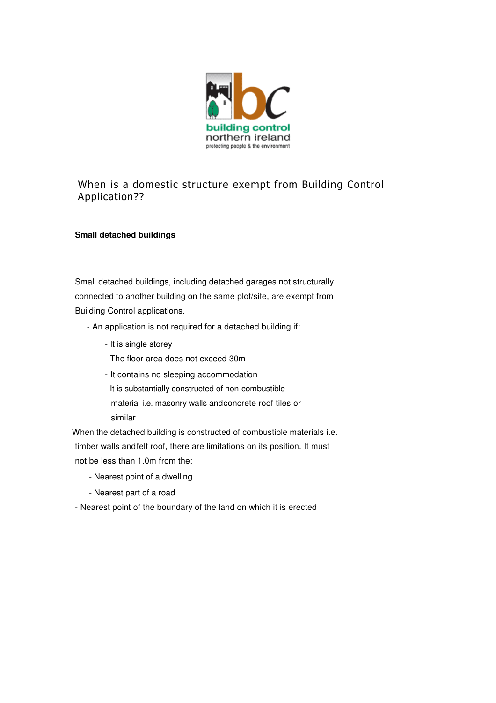

## When is a domestic structure exempt from Building Control Application??

## **Small detached buildings**

Small detached buildings, including detached garages not structurally connected to another building on the same plot/site, are exempt from Building Control applications.

- An application is not required for a detached building if:
	- It is single storey
	- The floor area does not exceed  $30m<sub>2</sub>$
	- It contains no sleeping accommodation
	- It is substantially constructed of non-combustible material i.e. masonry walls andconcrete roof tiles or similar

When the detached building is constructed of combustible materials i.e. timber walls andfelt roof, there are limitations on its position. It must not be less than 1.0m from the:

- Nearest point of a dwelling
- Nearest part of a road
- Nearest point of the boundary of the land on which it is erected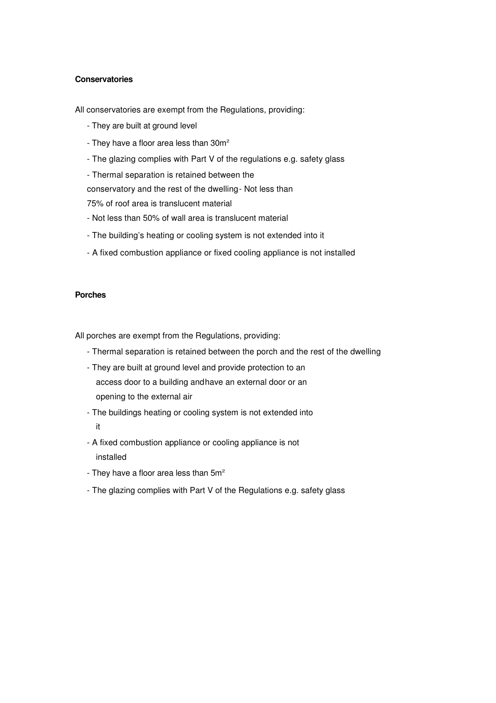## **Conservatories**

All conservatories are exempt from the Regulations, providing:

- They are built at ground level
- They have a floor area less than  $30m^2$
- The glazing complies with Part V of the regulations e.g. safety glass
- Thermal separation is retained between the

conservatory and the rest of the dwelling- Not less than

75% of roof area is translucent material

- Not less than 50% of wall area is translucent material
- The building's heating or cooling system is not extended into it
- A fixed combustion appliance or fixed cooling appliance is not installed

## **Porches**

All porches are exempt from the Regulations, providing:

- Thermal separation is retained between the porch and the rest of the dwelling
- They are built at ground level and provide protection to an access door to a building andhave an external door or an opening to the external air
- The buildings heating or cooling system is not extended into it
- A fixed combustion appliance or cooling appliance is not installed
- They have a floor area less than  $5m<sup>2</sup>$
- The glazing complies with Part V of the Regulations e.g. safety glass